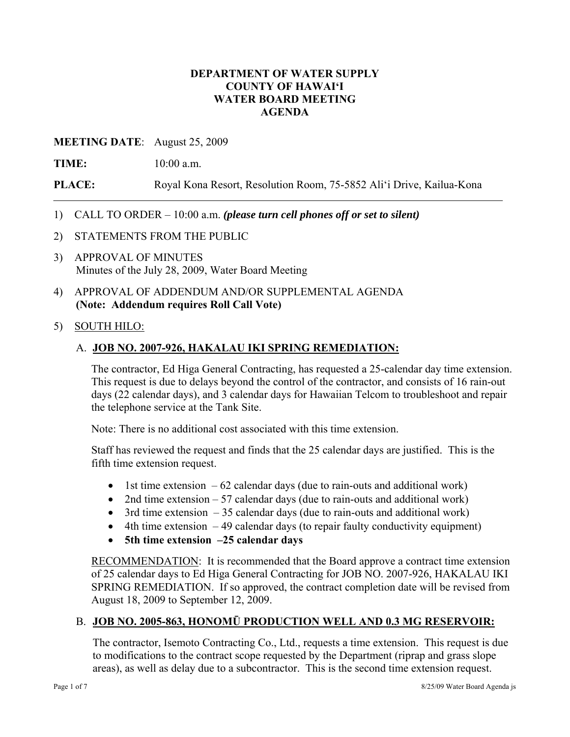### **DEPARTMENT OF WATER SUPPLY COUNTY OF HAWAI'I WATER BOARD MEETING AGENDA**

#### **MEETING DATE**: August 25, 2009

**TIME:** 10:00 a.m.

**PLACE:** Royal Kona Resort, Resolution Room, 75-5852 Ali'i Drive, Kailua-Kona

- 1) CALL TO ORDER 10:00 a.m. *(please turn cell phones off or set to silent)*
- 2) STATEMENTS FROM THE PUBLIC
- 3) APPROVAL OF MINUTES Minutes of the July 28, 2009, Water Board Meeting
- 4) APPROVAL OF ADDENDUM AND/OR SUPPLEMENTAL AGENDA **(Note: Addendum requires Roll Call Vote)**

#### 5) SOUTH HILO:

### A. **JOB NO. 2007-926, HAKALAU IKI SPRING REMEDIATION:**

The contractor, Ed Higa General Contracting, has requested a 25-calendar day time extension. This request is due to delays beyond the control of the contractor, and consists of 16 rain-out days (22 calendar days), and 3 calendar days for Hawaiian Telcom to troubleshoot and repair the telephone service at the Tank Site.

Note: There is no additional cost associated with this time extension.

Staff has reviewed the request and finds that the 25 calendar days are justified. This is the fifth time extension request.

- 1st time extension  $-62$  calendar days (due to rain-outs and additional work)
- 2nd time extension 57 calendar days (due to rain-outs and additional work)
- $\bullet$  3rd time extension  $-35$  calendar days (due to rain-outs and additional work)
- $\bullet$  4th time extension  $-49$  calendar days (to repair faulty conductivity equipment)
- **5th time extension –25 calendar days**

RECOMMENDATION: It is recommended that the Board approve a contract time extension of 25 calendar days to Ed Higa General Contracting for JOB NO. 2007-926, HAKALAU IKI SPRING REMEDIATION. If so approved, the contract completion date will be revised from August 18, 2009 to September 12, 2009.

# B. **JOB NO. 2005-863, HONOMŪ PRODUCTION WELL AND 0.3 MG RESERVOIR:**

The contractor, Isemoto Contracting Co., Ltd., requests a time extension. This request is due to modifications to the contract scope requested by the Department (riprap and grass slope areas), as well as delay due to a subcontractor. This is the second time extension request.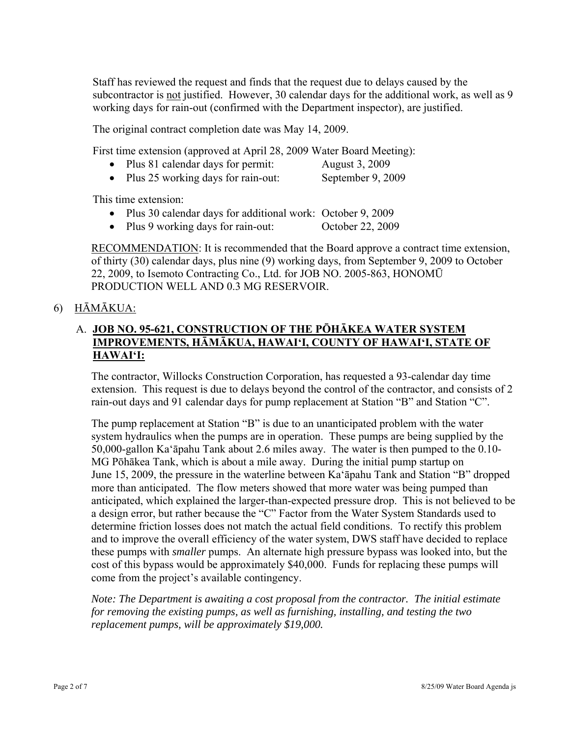Staff has reviewed the request and finds that the request due to delays caused by the subcontractor is not justified. However, 30 calendar days for the additional work, as well as 9 working days for rain-out (confirmed with the Department inspector), are justified.

The original contract completion date was May 14, 2009.

First time extension (approved at April 28, 2009 Water Board Meeting):

• Plus 81 calendar days for permit: August 3, 2009

• Plus 25 working days for rain-out: September 9, 2009

This time extension:

- Plus 30 calendar days for additional work: October 9, 2009
- Plus 9 working days for rain-out: October 22, 2009

RECOMMENDATION: It is recommended that the Board approve a contract time extension, of thirty (30) calendar days, plus nine (9) working days, from September 9, 2009 to October 22, 2009, to Isemoto Contracting Co., Ltd. for JOB NO. 2005-863, HONOMŪ PRODUCTION WELL AND 0.3 MG RESERVOIR.

### 6) HĀMĀKUA:

## A. **JOB NO. 95-621, CONSTRUCTION OF THE PŌHĀKEA WATER SYSTEM IMPROVEMENTS, HĀMĀKUA, HAWAI'I, COUNTY OF HAWAI'I, STATE OF HAWAI'I:**

The contractor, Willocks Construction Corporation, has requested a 93-calendar day time extension. This request is due to delays beyond the control of the contractor, and consists of 2 rain-out days and 91 calendar days for pump replacement at Station "B" and Station "C".

The pump replacement at Station "B" is due to an unanticipated problem with the water system hydraulics when the pumps are in operation. These pumps are being supplied by the 50,000-gallon Ka'āpahu Tank about 2.6 miles away. The water is then pumped to the 0.10- MG Pōhākea Tank, which is about a mile away. During the initial pump startup on June 15, 2009, the pressure in the waterline between Ka'āpahu Tank and Station "B" dropped more than anticipated. The flow meters showed that more water was being pumped than anticipated, which explained the larger-than-expected pressure drop. This is not believed to be a design error, but rather because the "C" Factor from the Water System Standards used to determine friction losses does not match the actual field conditions. To rectify this problem and to improve the overall efficiency of the water system, DWS staff have decided to replace these pumps with *smaller* pumps. An alternate high pressure bypass was looked into, but the cost of this bypass would be approximately \$40,000. Funds for replacing these pumps will come from the project's available contingency.

*Note: The Department is awaiting a cost proposal from the contractor. The initial estimate for removing the existing pumps, as well as furnishing, installing, and testing the two replacement pumps, will be approximately \$19,000.*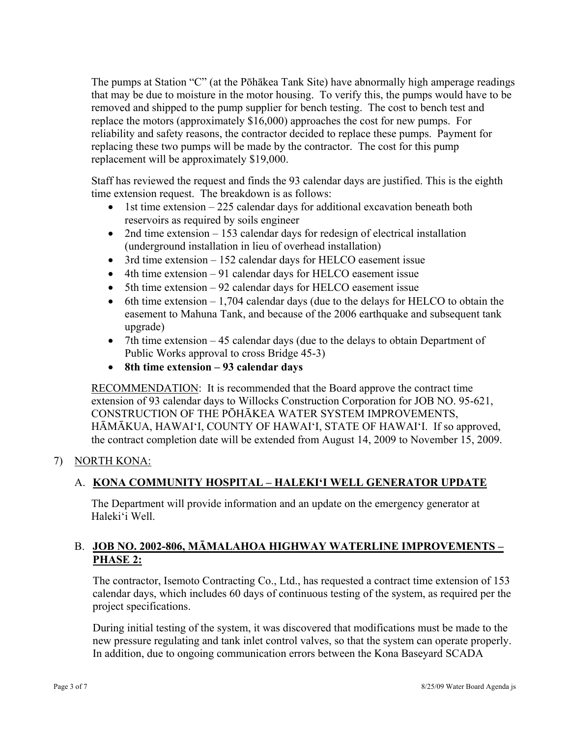The pumps at Station "C" (at the Pōhākea Tank Site) have abnormally high amperage readings that may be due to moisture in the motor housing. To verify this, the pumps would have to be removed and shipped to the pump supplier for bench testing. The cost to bench test and replace the motors (approximately \$16,000) approaches the cost for new pumps. For reliability and safety reasons, the contractor decided to replace these pumps. Payment for replacing these two pumps will be made by the contractor. The cost for this pump replacement will be approximately \$19,000.

Staff has reviewed the request and finds the 93 calendar days are justified. This is the eighth time extension request. The breakdown is as follows:

- $\bullet$  1st time extension 225 calendar days for additional excavation beneath both reservoirs as required by soils engineer
- 2nd time extension 153 calendar days for redesign of electrical installation (underground installation in lieu of overhead installation)
- 3rd time extension 152 calendar days for HELCO easement issue
- 4th time extension 91 calendar days for HELCO easement issue
- 5th time extension 92 calendar days for HELCO easement issue
- 6th time extension  $-1,704$  calendar days (due to the delays for HELCO to obtain the easement to Mahuna Tank, and because of the 2006 earthquake and subsequent tank upgrade)
- 7th time extension 45 calendar days (due to the delays to obtain Department of Public Works approval to cross Bridge 45-3)
- **8th time extension 93 calendar days**

RECOMMENDATION: It is recommended that the Board approve the contract time extension of 93 calendar days to Willocks Construction Corporation for JOB NO. 95-621, CONSTRUCTION OF THE PŌHĀKEA WATER SYSTEM IMPROVEMENTS, HĀMĀKUA, HAWAI'I, COUNTY OF HAWAI'I, STATE OF HAWAI'I. If so approved, the contract completion date will be extended from August 14, 2009 to November 15, 2009.

### 7) NORTH KONA:

# A. **KONA COMMUNITY HOSPITAL – HALEKI'I WELL GENERATOR UPDATE**

The Department will provide information and an update on the emergency generator at Haleki'i Well.

# B. **JOB NO. 2002-806, MĀMALAHOA HIGHWAY WATERLINE IMPROVEMENTS – PHASE 2:**

The contractor, Isemoto Contracting Co., Ltd., has requested a contract time extension of 153 calendar days, which includes 60 days of continuous testing of the system, as required per the project specifications.

During initial testing of the system, it was discovered that modifications must be made to the new pressure regulating and tank inlet control valves, so that the system can operate properly. In addition, due to ongoing communication errors between the Kona Baseyard SCADA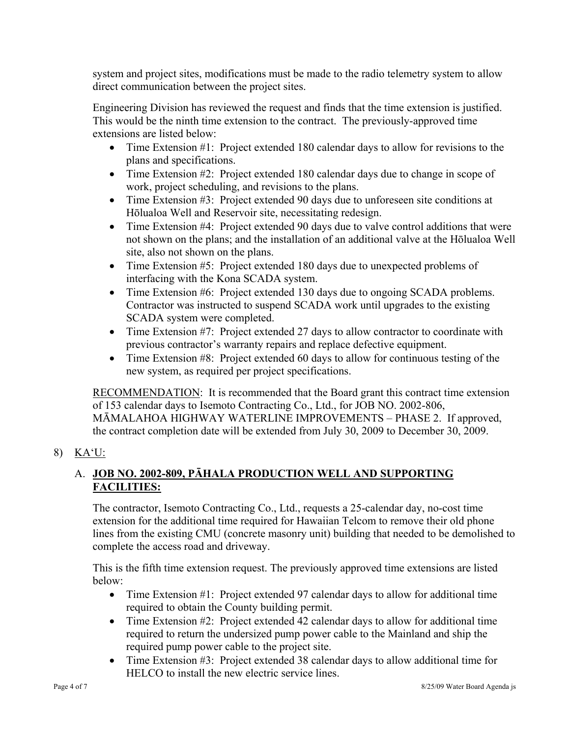system and project sites, modifications must be made to the radio telemetry system to allow direct communication between the project sites.

Engineering Division has reviewed the request and finds that the time extension is justified. This would be the ninth time extension to the contract. The previously-approved time extensions are listed below:

- Time Extension #1: Project extended 180 calendar days to allow for revisions to the plans and specifications.
- Time Extension #2: Project extended 180 calendar days due to change in scope of work, project scheduling, and revisions to the plans.
- Time Extension #3: Project extended 90 days due to unforeseen site conditions at Hōlualoa Well and Reservoir site, necessitating redesign.
- Time Extension #4: Project extended 90 days due to valve control additions that were not shown on the plans; and the installation of an additional valve at the Hōlualoa Well site, also not shown on the plans.
- Time Extension #5: Project extended 180 days due to unexpected problems of interfacing with the Kona SCADA system.
- Time Extension #6: Project extended 130 days due to ongoing SCADA problems. Contractor was instructed to suspend SCADA work until upgrades to the existing SCADA system were completed.
- Time Extension #7: Project extended 27 days to allow contractor to coordinate with previous contractor's warranty repairs and replace defective equipment.
- Time Extension #8: Project extended 60 days to allow for continuous testing of the new system, as required per project specifications.

RECOMMENDATION: It is recommended that the Board grant this contract time extension of 153 calendar days to Isemoto Contracting Co., Ltd., for JOB NO. 2002-806, MĀMALAHOA HIGHWAY WATERLINE IMPROVEMENTS – PHASE 2. If approved, the contract completion date will be extended from July 30, 2009 to December 30, 2009.

8) KA'U:

# A. **JOB NO. 2002-809, PĀHALA PRODUCTION WELL AND SUPPORTING FACILITIES:**

The contractor, Isemoto Contracting Co., Ltd., requests a 25-calendar day, no-cost time extension for the additional time required for Hawaiian Telcom to remove their old phone lines from the existing CMU (concrete masonry unit) building that needed to be demolished to complete the access road and driveway.

This is the fifth time extension request. The previously approved time extensions are listed below:

- Time Extension #1: Project extended 97 calendar days to allow for additional time required to obtain the County building permit.
- Time Extension #2: Project extended 42 calendar days to allow for additional time required to return the undersized pump power cable to the Mainland and ship the required pump power cable to the project site.
- Time Extension #3: Project extended 38 calendar days to allow additional time for HELCO to install the new electric service lines.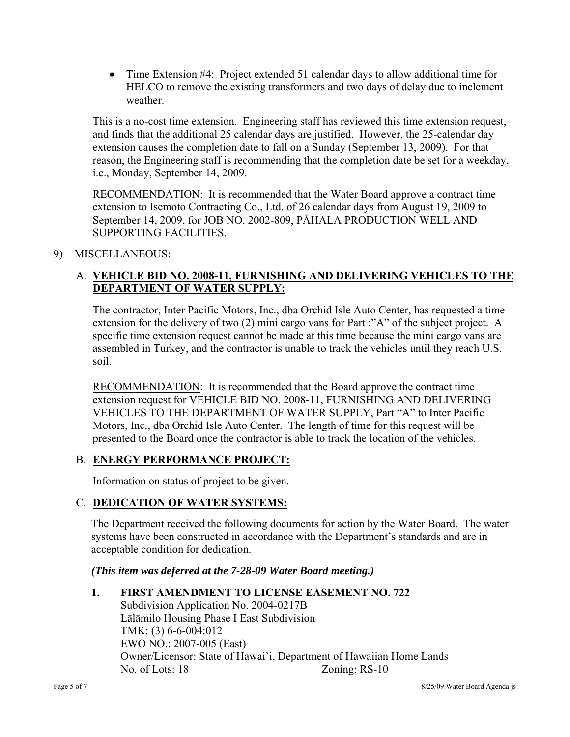Time Extension #4: Project extended 51 calendar days to allow additional time for HELCO to remove the existing transformers and two days of delay due to inclement weather.

This is a no-cost time extension. Engineering staff has reviewed this time extension request, and finds that the additional 25 calendar days are justified. However, the 25-calendar day extension causes the completion date to fall on a Sunday (September 13, 2009). For that reason, the Engineering staff is recommending that the completion date be set for a weekday, i.e., Monday, September 14, 2009.

RECOMMENDATION: It is recommended that the Water Board approve a contract time extension to Isemoto Contracting Co., Ltd. of 26 calendar days from August 19, 2009 to September 14, 2009, for JOB NO. 2002-809, PĀHALA PRODUCTION WELL AND SUPPORTING FACILITIES.

### 9) MISCELLANEOUS:

# A. **VEHICLE BID NO. 2008-11, FURNISHING AND DELIVERING VEHICLES TO THE DEPARTMENT OF WATER SUPPLY:**

The contractor, Inter Pacific Motors, Inc., dba Orchid Isle Auto Center, has requested a time extension for the delivery of two (2) mini cargo vans for Part :"A" of the subject project. A specific time extension request cannot be made at this time because the mini cargo vans are assembled in Turkey, and the contractor is unable to track the vehicles until they reach U.S. soil.

RECOMMENDATION: It is recommended that the Board approve the contract time extension request for VEHICLE BID NO. 2008-11, FURNISHING AND DELIVERING VEHICLES TO THE DEPARTMENT OF WATER SUPPLY, Part "A" to Inter Pacific Motors, Inc., dba Orchid Isle Auto Center. The length of time for this request will be presented to the Board once the contractor is able to track the location of the vehicles.

### B. **ENERGY PERFORMANCE PROJECT:**

Information on status of project to be given.

### C. **DEDICATION OF WATER SYSTEMS:**

The Department received the following documents for action by the Water Board. The water systems have been constructed in accordance with the Department's standards and are in acceptable condition for dedication.

*(This item was deferred at the 7-28-09 Water Board meeting.)* 

#### **1. FIRST AMENDMENT TO LICENSE EASEMENT NO. 722**

 Subdivision Application No. 2004-0217B Lālāmilo Housing Phase I East Subdivision TMK: (3) 6-6-004:012 EWO NO.: 2007-005 (East) Owner/Licensor: State of Hawai`i, Department of Hawaiian Home Lands No. of Lots: 18 Zoning: RS-10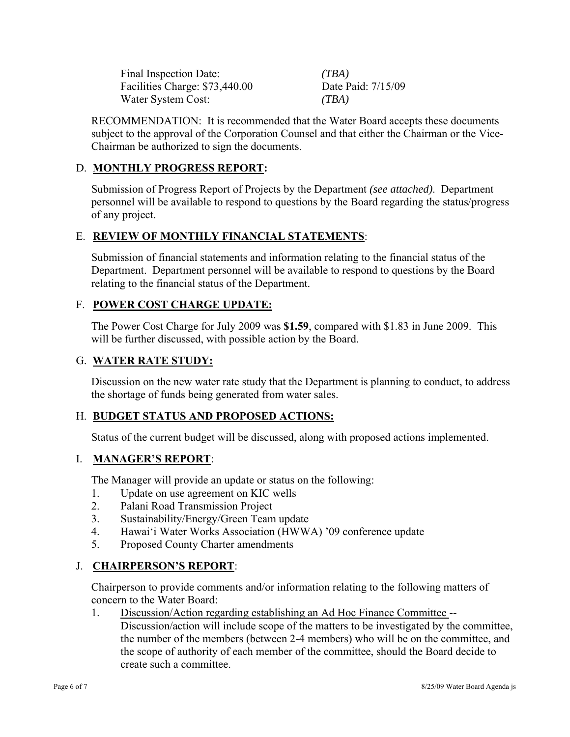Final Inspection Date: *(TBA)* Facilities Charge: \$73,440.00 Date Paid: 7/15/09 Water System Cost: *(TBA)*

RECOMMENDATION: It is recommended that the Water Board accepts these documents subject to the approval of the Corporation Counsel and that either the Chairman or the Vice-Chairman be authorized to sign the documents.

### D. **MONTHLY PROGRESS REPORT:**

Submission of Progress Report of Projects by the Department *(see attached)*. Department personnel will be available to respond to questions by the Board regarding the status/progress of any project.

### E. **REVIEW OF MONTHLY FINANCIAL STATEMENTS**:

Submission of financial statements and information relating to the financial status of the Department. Department personnel will be available to respond to questions by the Board relating to the financial status of the Department.

#### F. **POWER COST CHARGE UPDATE:**

The Power Cost Charge for July 2009 was **\$1.59**, compared with \$1.83 in June 2009. This will be further discussed, with possible action by the Board.

#### G. **WATER RATE STUDY:**

Discussion on the new water rate study that the Department is planning to conduct, to address the shortage of funds being generated from water sales.

### H. **BUDGET STATUS AND PROPOSED ACTIONS:**

Status of the current budget will be discussed, along with proposed actions implemented.

#### I. **MANAGER'S REPORT**:

The Manager will provide an update or status on the following:

- 1. Update on use agreement on KIC wells
- 2. Palani Road Transmission Project
- 3. Sustainability/Energy/Green Team update
- 4. Hawai'i Water Works Association (HWWA) '09 conference update
- 5. Proposed County Charter amendments

### J. **CHAIRPERSON'S REPORT**:

Chairperson to provide comments and/or information relating to the following matters of concern to the Water Board:

1. Discussion/Action regarding establishing an Ad Hoc Finance Committee --

Discussion/action will include scope of the matters to be investigated by the committee, the number of the members (between 2-4 members) who will be on the committee, and the scope of authority of each member of the committee, should the Board decide to create such a committee.